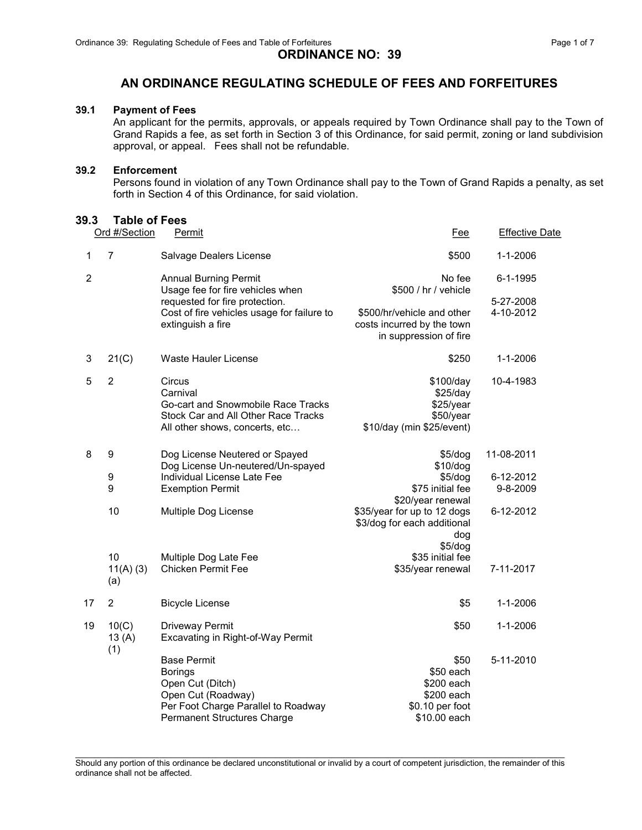### ORDINANCE NO: 39

## AN ORDINANCE REGULATING SCHEDULE OF FEES AND FORFEITURES

#### 39.1 Payment of Fees

An applicant for the permits, approvals, or appeals required by Town Ordinance shall pay to the Town of Grand Rapids a fee, as set forth in Section 3 of this Ordinance, for said permit, zoning or land subdivision approval, or appeal. Fees shall not be refundable.

#### 39.2 Enforcement

Persons found in violation of any Town Ordinance shall pay to the Town of Grand Rapids a penalty, as set forth in Section 4 of this Ordinance, for said violation.

#### 39.3 Table of Fees

|    | Ord #/Section            | Permit                                                                                                                                                      | <u>Fee</u>                                                                         | <b>Effective Date</b>  |
|----|--------------------------|-------------------------------------------------------------------------------------------------------------------------------------------------------------|------------------------------------------------------------------------------------|------------------------|
| 1  | 7                        | Salvage Dealers License                                                                                                                                     | \$500                                                                              | 1-1-2006               |
| 2  |                          | <b>Annual Burning Permit</b><br>Usage fee for fire vehicles when                                                                                            | No fee<br>\$500 / hr / vehicle                                                     | 6-1-1995               |
|    |                          | requested for fire protection.<br>Cost of fire vehicles usage for failure to<br>extinguish a fire                                                           | \$500/hr/vehicle and other<br>costs incurred by the town<br>in suppression of fire | 5-27-2008<br>4-10-2012 |
| 3  | 21(C)                    | Waste Hauler License                                                                                                                                        | \$250                                                                              | $1 - 1 - 2006$         |
| 5  | $\overline{2}$           | Circus<br>Carnival<br>Go-cart and Snowmobile Race Tracks<br>Stock Car and All Other Race Tracks<br>All other shows, concerts, etc                           | \$100/day<br>\$25/day<br>\$25/year<br>\$50/year<br>\$10/day (min \$25/event)       | 10-4-1983              |
| 8  | 9                        | Dog License Neutered or Spayed<br>Dog License Un-neutered/Un-spayed                                                                                         | \$5/dog<br>\$10/dog                                                                | 11-08-2011             |
|    | 9                        | Individual License Late Fee                                                                                                                                 | \$5/dog                                                                            | 6-12-2012              |
|    | 9                        | <b>Exemption Permit</b>                                                                                                                                     | \$75 initial fee<br>\$20/year renewal                                              | 9-8-2009               |
|    | 10                       | Multiple Dog License                                                                                                                                        | \$35/year for up to 12 dogs<br>\$3/dog for each additional<br>dog<br>\$5/dog       | 6-12-2012              |
|    | 10<br>$11(A)$ (3)<br>(a) | Multiple Dog Late Fee<br><b>Chicken Permit Fee</b>                                                                                                          | \$35 initial fee<br>\$35/year renewal                                              | 7-11-2017              |
| 17 | $\overline{2}$           | <b>Bicycle License</b>                                                                                                                                      | \$5                                                                                | $1 - 1 - 2006$         |
| 19 | 10(C)<br>13 $(A)$<br>(1) | Driveway Permit<br>Excavating in Right-of-Way Permit                                                                                                        | \$50                                                                               | $1 - 1 - 2006$         |
|    |                          | <b>Base Permit</b><br><b>Borings</b><br>Open Cut (Ditch)<br>Open Cut (Roadway)<br>Per Foot Charge Parallel to Roadway<br><b>Permanent Structures Charge</b> | \$50<br>\$50 each<br>\$200 each<br>\$200 each<br>\$0.10 per foot<br>\$10.00 each   | 5-11-2010              |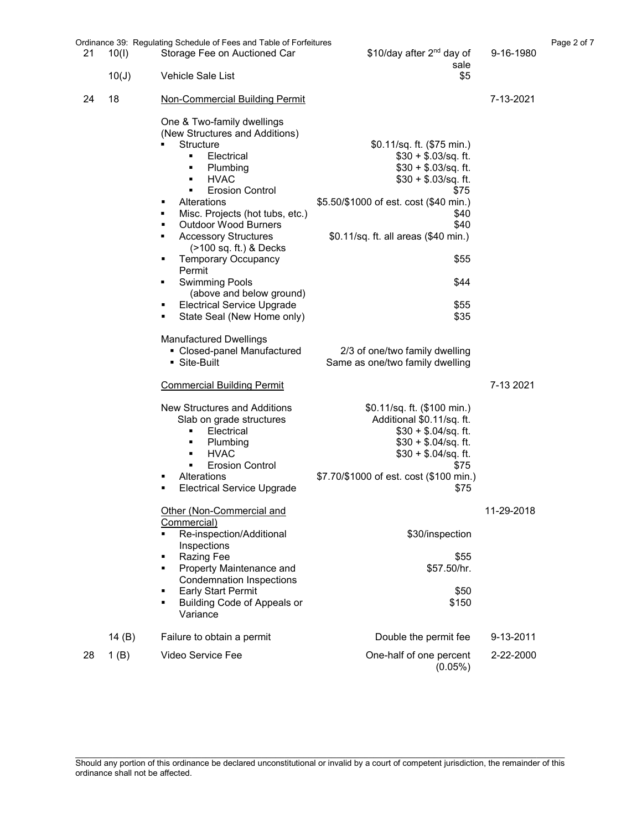|    |                | Ordinance 39: Regulating Schedule of Fees and Table of Forfeitures                                                                                                                                                                                                                                                                                                                                                                                                                                                                                                                                         |                                                                                                                                                                                                                                                                                                                    |            | Page 2 of 7 |
|----|----------------|------------------------------------------------------------------------------------------------------------------------------------------------------------------------------------------------------------------------------------------------------------------------------------------------------------------------------------------------------------------------------------------------------------------------------------------------------------------------------------------------------------------------------------------------------------------------------------------------------------|--------------------------------------------------------------------------------------------------------------------------------------------------------------------------------------------------------------------------------------------------------------------------------------------------------------------|------------|-------------|
| 21 | 10(1)<br>10(J) | Storage Fee on Auctioned Car<br>Vehicle Sale List                                                                                                                                                                                                                                                                                                                                                                                                                                                                                                                                                          | \$10/day after 2 <sup>nd</sup> day of<br>sale<br>\$5                                                                                                                                                                                                                                                               | 9-16-1980  |             |
|    |                |                                                                                                                                                                                                                                                                                                                                                                                                                                                                                                                                                                                                            |                                                                                                                                                                                                                                                                                                                    |            |             |
| 24 | 18             | <b>Non-Commercial Building Permit</b>                                                                                                                                                                                                                                                                                                                                                                                                                                                                                                                                                                      |                                                                                                                                                                                                                                                                                                                    | 7-13-2021  |             |
|    |                | One & Two-family dwellings<br>(New Structures and Additions)<br>Structure<br>Electrical<br>٠<br>Plumbing<br>٠<br><b>HVAC</b><br>٠<br><b>Erosion Control</b><br>٠<br>Alterations<br>Misc. Projects (hot tubs, etc.)<br>٠<br><b>Outdoor Wood Burners</b><br>٠<br><b>Accessory Structures</b><br>٠<br>(>100 sq. ft.) & Decks<br><b>Temporary Occupancy</b><br>٠<br>Permit<br><b>Swimming Pools</b><br>٠<br>(above and below ground)<br><b>Electrical Service Upgrade</b><br>٠<br>State Seal (New Home only)<br>٠<br><b>Manufactured Dwellings</b><br>• Closed-panel Manufactured<br>$\blacksquare$ Site-Built | \$0.11/sq. ft. (\$75 min.)<br>$$30 + $.03/sq.$ ft.<br>$$30 + $.03/sq$ . ft.<br>$$30 + $.03/sq.$ ft.<br>\$75<br>\$5.50/\$1000 of est. cost (\$40 min.)<br>\$40<br>\$40<br>\$0.11/sq. ft. all areas (\$40 min.)<br>\$55<br>\$44<br>\$55<br>\$35<br>2/3 of one/two family dwelling<br>Same as one/two family dwelling |            |             |
|    |                | <b>Commercial Building Permit</b>                                                                                                                                                                                                                                                                                                                                                                                                                                                                                                                                                                          |                                                                                                                                                                                                                                                                                                                    | 7-13 2021  |             |
|    |                | New Structures and Additions<br>Slab on grade structures<br>Electrical<br>٠<br>Plumbing<br>٠<br><b>HVAC</b><br>٠<br><b>Erosion Control</b><br>٠<br>Alterations<br>п<br><b>Electrical Service Upgrade</b>                                                                                                                                                                                                                                                                                                                                                                                                   | \$0.11/sq. ft. (\$100 min.)<br>Additional \$0.11/sq. ft.<br>$$30 + $.04/sq$ . ft.<br>$$30 + $.04/sq.$ ft.<br>$$30 + $.04/sq$ . ft.<br>\$75<br>\$7.70/\$1000 of est. cost (\$100 min.)<br>\$75                                                                                                                      |            |             |
|    |                | Other (Non-Commercial and<br>Commercial)<br>Re-inspection/Additional<br>Inspections<br>Razing Fee<br>٠<br>Property Maintenance and<br>٠                                                                                                                                                                                                                                                                                                                                                                                                                                                                    | \$30/inspection<br>\$55<br>\$57.50/hr.                                                                                                                                                                                                                                                                             | 11-29-2018 |             |
|    |                | <b>Condemnation Inspections</b><br><b>Early Start Permit</b><br>٠<br><b>Building Code of Appeals or</b><br>٠<br>Variance                                                                                                                                                                                                                                                                                                                                                                                                                                                                                   | \$50<br>\$150                                                                                                                                                                                                                                                                                                      |            |             |
|    | 14 $(B)$       | Failure to obtain a permit                                                                                                                                                                                                                                                                                                                                                                                                                                                                                                                                                                                 | Double the permit fee                                                                                                                                                                                                                                                                                              | 9-13-2011  |             |
| 28 | 1(B)           | Video Service Fee                                                                                                                                                                                                                                                                                                                                                                                                                                                                                                                                                                                          | One-half of one percent<br>$(0.05\%)$                                                                                                                                                                                                                                                                              | 2-22-2000  |             |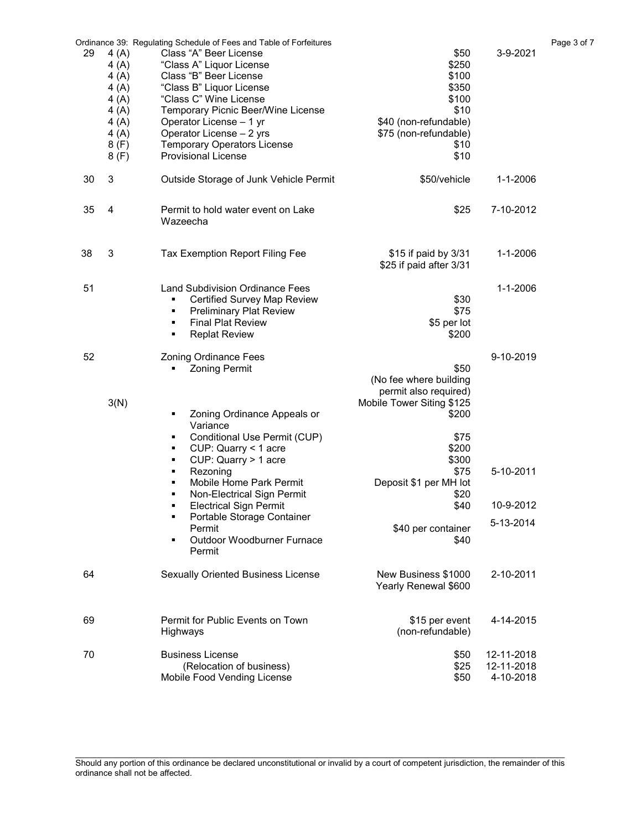| 29 | 4(A)<br>4(A)<br>4(A)<br>4(A)<br>4(A)<br>4(A)<br>4(A)<br>4(A)<br>8(F)<br>8(F) | Ordinance 39: Regulating Schedule of Fees and Table of Forfeitures<br>Class "A" Beer License<br>"Class A" Liquor License<br>Class "B" Beer License<br>"Class B" Liquor License<br>"Class C" Wine License<br>Temporary Picnic Beer/Wine License<br>Operator License - 1 yr<br>Operator License - 2 yrs<br><b>Temporary Operators License</b><br><b>Provisional License</b> | \$50<br>\$250<br>\$100<br>\$350<br>\$100<br>\$10<br>\$40 (non-refundable)<br>\$75 (non-refundable)<br>\$10<br>\$10 | 3-9-2021                              | Page 3 of 7 |
|----|------------------------------------------------------------------------------|---------------------------------------------------------------------------------------------------------------------------------------------------------------------------------------------------------------------------------------------------------------------------------------------------------------------------------------------------------------------------|--------------------------------------------------------------------------------------------------------------------|---------------------------------------|-------------|
| 30 | 3                                                                            | Outside Storage of Junk Vehicle Permit                                                                                                                                                                                                                                                                                                                                    | \$50/vehicle                                                                                                       | 1-1-2006                              |             |
| 35 | 4                                                                            | Permit to hold water event on Lake<br>Wazeecha                                                                                                                                                                                                                                                                                                                            | \$25                                                                                                               | 7-10-2012                             |             |
| 38 | 3                                                                            | Tax Exemption Report Filing Fee                                                                                                                                                                                                                                                                                                                                           | \$15 if paid by 3/31<br>\$25 if paid after 3/31                                                                    | 1-1-2006                              |             |
| 51 |                                                                              | <b>Land Subdivision Ordinance Fees</b><br><b>Certified Survey Map Review</b><br>٠<br><b>Preliminary Plat Review</b><br>٠<br><b>Final Plat Review</b><br>٠<br><b>Replat Review</b><br>٠                                                                                                                                                                                    | \$30<br>\$75<br>\$5 per lot<br>\$200                                                                               | $1 - 1 - 2006$                        |             |
| 52 |                                                                              | <b>Zoning Ordinance Fees</b><br><b>Zoning Permit</b><br>٠                                                                                                                                                                                                                                                                                                                 | \$50<br>(No fee where building<br>permit also required)                                                            | 9-10-2019                             |             |
|    | 3(N)                                                                         | Zoning Ordinance Appeals or<br>٠<br>Variance<br>Conditional Use Permit (CUP)<br>٠<br>CUP: Quarry < 1 acre<br>٠<br>CUP: Quarry > 1 acre<br>٠                                                                                                                                                                                                                               | Mobile Tower Siting \$125<br>\$200<br>\$75<br>\$200<br>\$300                                                       |                                       |             |
|    |                                                                              | Rezoning<br>٠<br>Mobile Home Park Permit<br>٠<br>Non-Electrical Sign Permit<br>٠                                                                                                                                                                                                                                                                                          | \$75<br>Deposit \$1 per MH lot<br>\$20                                                                             | 5-10-2011                             |             |
|    |                                                                              | <b>Electrical Sign Permit</b>                                                                                                                                                                                                                                                                                                                                             | \$40                                                                                                               | 10-9-2012                             |             |
|    |                                                                              | Portable Storage Container<br>Permit<br>Outdoor Woodburner Furnace<br>Permit                                                                                                                                                                                                                                                                                              | \$40 per container<br>\$40                                                                                         | 5-13-2014                             |             |
| 64 |                                                                              | <b>Sexually Oriented Business License</b>                                                                                                                                                                                                                                                                                                                                 | New Business \$1000<br>Yearly Renewal \$600                                                                        | 2-10-2011                             |             |
| 69 |                                                                              | Permit for Public Events on Town<br>Highways                                                                                                                                                                                                                                                                                                                              | \$15 per event<br>(non-refundable)                                                                                 | 4-14-2015                             |             |
| 70 |                                                                              | <b>Business License</b><br>(Relocation of business)<br>Mobile Food Vending License                                                                                                                                                                                                                                                                                        | \$50<br>\$25<br>\$50                                                                                               | 12-11-2018<br>12-11-2018<br>4-10-2018 |             |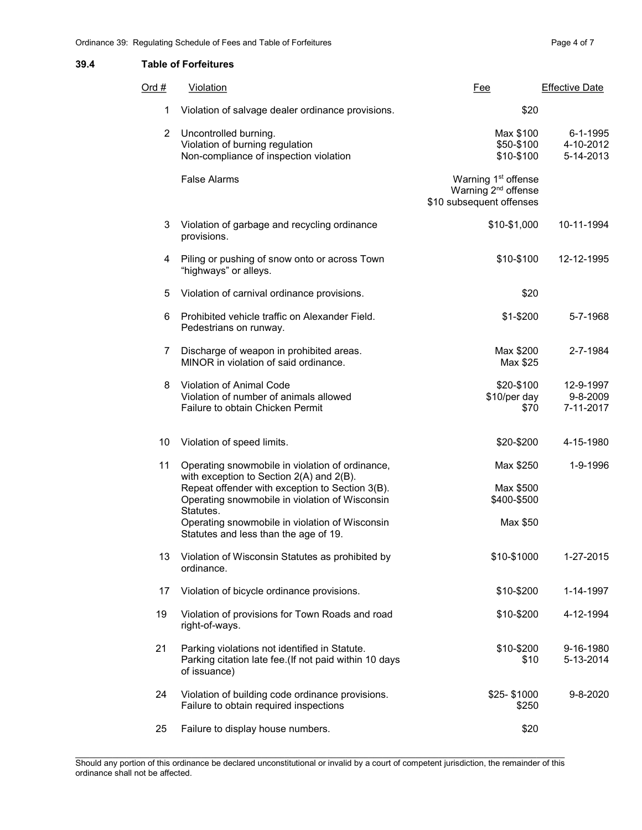#### 39.4 Table of Forfeitures

| Ord $#$        | Violation                                                                                                                                                                                                                                                                                                | <u>Fee</u>                                                                                     | <b>Effective Date</b>              |
|----------------|----------------------------------------------------------------------------------------------------------------------------------------------------------------------------------------------------------------------------------------------------------------------------------------------------------|------------------------------------------------------------------------------------------------|------------------------------------|
| 1              | Violation of salvage dealer ordinance provisions.                                                                                                                                                                                                                                                        | \$20                                                                                           |                                    |
| $\overline{2}$ | Uncontrolled burning.<br>Violation of burning regulation<br>Non-compliance of inspection violation                                                                                                                                                                                                       | Max \$100<br>\$50-\$100<br>\$10-\$100                                                          | 6-1-1995<br>4-10-2012<br>5-14-2013 |
|                | <b>False Alarms</b>                                                                                                                                                                                                                                                                                      | Warning 1 <sup>st</sup> offense<br>Warning 2 <sup>nd</sup> offense<br>\$10 subsequent offenses |                                    |
| 3              | Violation of garbage and recycling ordinance<br>provisions.                                                                                                                                                                                                                                              | \$10-\$1,000                                                                                   | 10-11-1994                         |
| 4              | Piling or pushing of snow onto or across Town<br>"highways" or alleys.                                                                                                                                                                                                                                   | \$10-\$100                                                                                     | 12-12-1995                         |
| 5              | Violation of carnival ordinance provisions.                                                                                                                                                                                                                                                              | \$20                                                                                           |                                    |
| 6              | Prohibited vehicle traffic on Alexander Field.<br>Pedestrians on runway.                                                                                                                                                                                                                                 | \$1-\$200                                                                                      | 5-7-1968                           |
| 7              | Discharge of weapon in prohibited areas.<br>MINOR in violation of said ordinance.                                                                                                                                                                                                                        | Max \$200<br>Max \$25                                                                          | 2-7-1984                           |
| 8              | Violation of Animal Code<br>Violation of number of animals allowed<br>Failure to obtain Chicken Permit                                                                                                                                                                                                   | \$20-\$100<br>\$10/per day<br>\$70                                                             | 12-9-1997<br>9-8-2009<br>7-11-2017 |
| 10             | Violation of speed limits.                                                                                                                                                                                                                                                                               | \$20-\$200                                                                                     | 4-15-1980                          |
| 11             | Operating snowmobile in violation of ordinance,<br>with exception to Section 2(A) and 2(B).<br>Repeat offender with exception to Section 3(B).<br>Operating snowmobile in violation of Wisconsin<br>Statutes.<br>Operating snowmobile in violation of Wisconsin<br>Statutes and less than the age of 19. | Max \$250<br>Max \$500<br>\$400-\$500<br>Max \$50                                              | 1-9-1996                           |
| 13             | Violation of Wisconsin Statutes as prohibited by<br>ordinance.                                                                                                                                                                                                                                           | \$10-\$1000                                                                                    | 1-27-2015                          |
| 17             | Violation of bicycle ordinance provisions.                                                                                                                                                                                                                                                               | \$10-\$200                                                                                     | 1-14-1997                          |
| 19             | Violation of provisions for Town Roads and road<br>right-of-ways.                                                                                                                                                                                                                                        | \$10-\$200                                                                                     | 4-12-1994                          |
| 21             | Parking violations not identified in Statute.<br>Parking citation late fee. (If not paid within 10 days<br>of issuance)                                                                                                                                                                                  | \$10-\$200<br>\$10                                                                             | 9-16-1980<br>5-13-2014             |
| 24             | Violation of building code ordinance provisions.<br>Failure to obtain required inspections                                                                                                                                                                                                               | \$25-\$1000<br>\$250                                                                           | $9 - 8 - 2020$                     |
| 25             | Failure to display house numbers.                                                                                                                                                                                                                                                                        | \$20                                                                                           |                                    |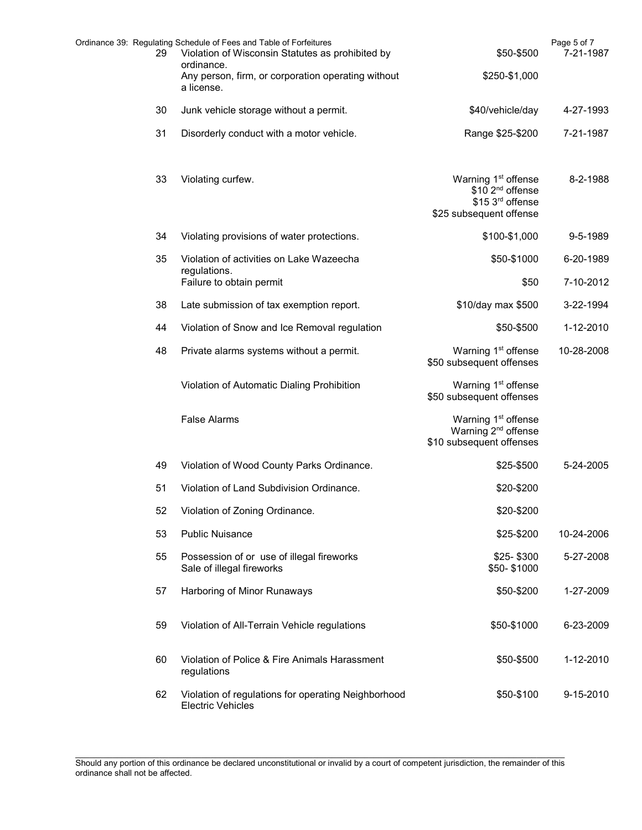| 29 | Ordinance 39: Regulating Schedule of Fees and Table of Forfeitures<br>Violation of Wisconsin Statutes as prohibited by | \$50-\$500                                                                                                     | Page 5 of 7<br>7-21-1987 |
|----|------------------------------------------------------------------------------------------------------------------------|----------------------------------------------------------------------------------------------------------------|--------------------------|
|    | ordinance.<br>Any person, firm, or corporation operating without<br>a license.                                         | \$250-\$1,000                                                                                                  |                          |
| 30 | Junk vehicle storage without a permit.                                                                                 | \$40/vehicle/day                                                                                               | 4-27-1993                |
| 31 | Disorderly conduct with a motor vehicle.                                                                               | Range \$25-\$200                                                                                               | 7-21-1987                |
| 33 | Violating curfew.                                                                                                      | Warning 1 <sup>st</sup> offense<br>\$10 2 <sup>nd</sup> offense<br>\$15 3rd offense<br>\$25 subsequent offense | 8-2-1988                 |
| 34 | Violating provisions of water protections.                                                                             | \$100-\$1,000                                                                                                  | 9-5-1989                 |
| 35 | Violation of activities on Lake Wazeecha                                                                               | \$50-\$1000                                                                                                    | 6-20-1989                |
|    | regulations.<br>Failure to obtain permit                                                                               | \$50                                                                                                           | 7-10-2012                |
| 38 | Late submission of tax exemption report.                                                                               | \$10/day max \$500                                                                                             | 3-22-1994                |
| 44 | Violation of Snow and Ice Removal regulation                                                                           | \$50-\$500                                                                                                     | 1-12-2010                |
| 48 | Private alarms systems without a permit.                                                                               | Warning 1 <sup>st</sup> offense<br>\$50 subsequent offenses                                                    | 10-28-2008               |
|    | Violation of Automatic Dialing Prohibition                                                                             | Warning 1 <sup>st</sup> offense<br>\$50 subsequent offenses                                                    |                          |
|    | <b>False Alarms</b>                                                                                                    | Warning 1 <sup>st</sup> offense<br>Warning 2 <sup>nd</sup> offense<br>\$10 subsequent offenses                 |                          |
| 49 | Violation of Wood County Parks Ordinance.                                                                              | \$25-\$500                                                                                                     | 5-24-2005                |
| 51 | Violation of Land Subdivision Ordinance.                                                                               | \$20-\$200                                                                                                     |                          |
| 52 | Violation of Zoning Ordinance.                                                                                         | \$20-\$200                                                                                                     |                          |
| 53 | <b>Public Nuisance</b>                                                                                                 | \$25-\$200                                                                                                     | 10-24-2006               |
| 55 | Possession of or use of illegal fireworks<br>Sale of illegal fireworks                                                 | \$25-\$300<br>\$50-\$1000                                                                                      | 5-27-2008                |
| 57 | Harboring of Minor Runaways                                                                                            | \$50-\$200                                                                                                     | 1-27-2009                |
| 59 | Violation of All-Terrain Vehicle regulations                                                                           | \$50-\$1000                                                                                                    | 6-23-2009                |
| 60 | Violation of Police & Fire Animals Harassment<br>regulations                                                           | \$50-\$500                                                                                                     | 1-12-2010                |
| 62 | Violation of regulations for operating Neighborhood<br><b>Electric Vehicles</b>                                        | \$50-\$100                                                                                                     | 9-15-2010                |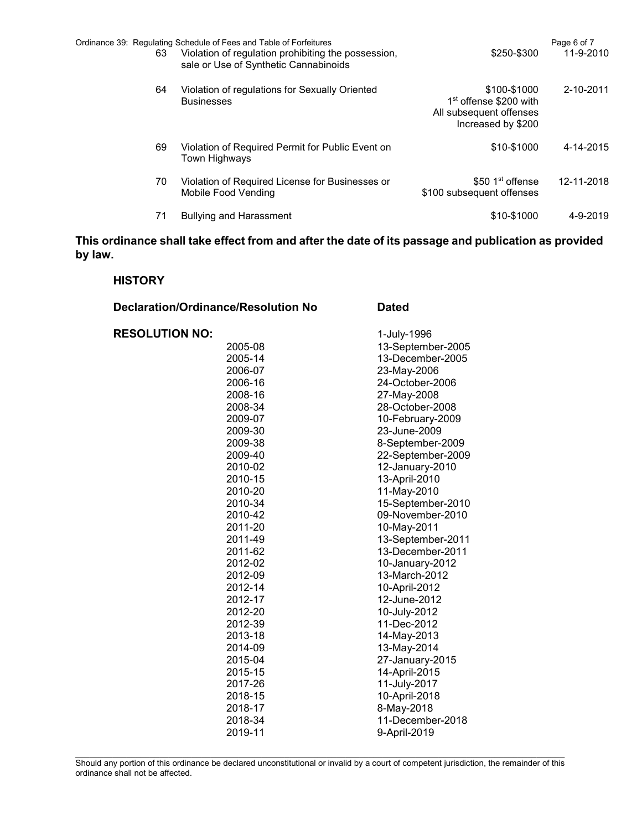| 63 | Ordinance 39: Regulating Schedule of Fees and Table of Forfeitures<br>Violation of regulation prohibiting the possession,<br>sale or Use of Synthetic Cannabinoids | \$250-\$300                                                                                         | Page 6 of 7<br>11-9-2010 |
|----|--------------------------------------------------------------------------------------------------------------------------------------------------------------------|-----------------------------------------------------------------------------------------------------|--------------------------|
| 64 | Violation of regulations for Sexually Oriented<br><b>Businesses</b>                                                                                                | \$100-\$1000<br>1 <sup>st</sup> offense \$200 with<br>All subsequent offenses<br>Increased by \$200 | 2-10-2011                |
| 69 | Violation of Required Permit for Public Event on<br>Town Highways                                                                                                  | \$10-\$1000                                                                                         | 4-14-2015                |
| 70 | Violation of Required License for Businesses or<br>Mobile Food Vending                                                                                             | $$50.1st$ offense<br>\$100 subsequent offenses                                                      | 12-11-2018               |
| 71 | <b>Bullying and Harassment</b>                                                                                                                                     | \$10-\$1000                                                                                         | 4-9-2019                 |

# This ordinance shall take effect from and after the date of its passage and publication as provided by law.

### **HISTORY**

| <b>Declaration/Ordinance/Resolution No</b> | <b>Dated</b>      |  |
|--------------------------------------------|-------------------|--|
| <b>RESOLUTION NO:</b>                      | 1-July-1996       |  |
| 2005-08                                    | 13-September-2005 |  |
| 2005-14                                    | 13-December-2005  |  |
| 2006-07                                    | 23-May-2006       |  |
| 2006-16                                    | 24-October-2006   |  |
| 2008-16                                    | 27-May-2008       |  |
| 2008-34                                    | 28-October-2008   |  |
| 2009-07                                    | 10-February-2009  |  |
| 2009-30                                    | 23-June-2009      |  |
| 2009-38                                    | 8-September-2009  |  |
| 2009-40                                    | 22-September-2009 |  |
| 2010-02                                    | 12-January-2010   |  |
| 2010-15                                    | 13-April-2010     |  |
| 2010-20                                    | 11-May-2010       |  |
| 2010-34                                    | 15-September-2010 |  |
| 2010-42                                    | 09-November-2010  |  |
| 2011-20                                    | 10-May-2011       |  |
| 2011-49                                    | 13-September-2011 |  |
| 2011-62                                    | 13-December-2011  |  |
| 2012-02                                    | 10-January-2012   |  |
| 2012-09                                    | 13-March-2012     |  |
| 2012-14                                    | 10-April-2012     |  |
| 2012-17                                    | 12-June-2012      |  |
| 2012-20                                    | 10-July-2012      |  |
| 2012-39                                    | 11-Dec-2012       |  |
| 2013-18                                    | 14-May-2013       |  |
| 2014-09                                    | 13-May-2014       |  |
| 2015-04                                    | 27-January-2015   |  |
| 2015-15                                    | 14-April-2015     |  |
| 2017-26                                    | 11-July-2017      |  |
| 2018-15                                    | 10-April-2018     |  |
| 2018-17                                    | 8-May-2018        |  |
| 2018-34                                    | 11-December-2018  |  |
| 2019-11                                    | 9-April-2019      |  |